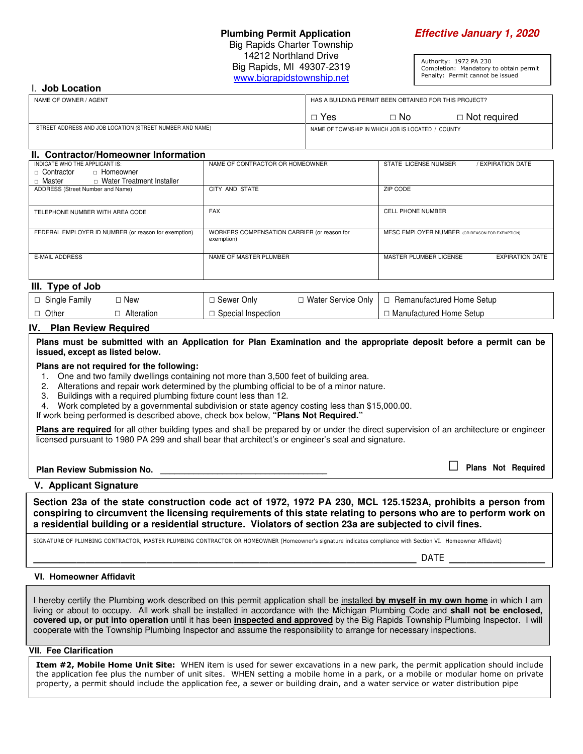## **Plumbing Permit Application Effective January 1, 2020**

Big Rapids Charter Township 14212 Northland Drive Big Rapids, MI 49307-2319 www.bigrapidstownship.net

Authority: 1972 PA 230 Completion: Mandatory to obtain permit Penalty: Permit cannot be issued

#### I. **Job Location**

| NAME OF OWNER / AGENT                                    | HAS A BUILDING PERMIT BEEN OBTAINED FOR THIS PROJECT? |      |                |
|----------------------------------------------------------|-------------------------------------------------------|------|----------------|
|                                                          | Yes                                                   | ⊟ No | □ Not required |
| STREET ADDRESS AND JOB LOCATION (STREET NUMBER AND NAME) | NAME OF TOWNSHIP IN WHICH JOB IS LOCATED /<br>COUNTY  |      |                |

## **II. Contractor/Homeowner Information**

| INDICATE WHO THE APPLICANT IS:                       | NAME OF CONTRACTOR OR HOMEOWNER             | STATE LICENSE NUMBER<br><b>EXPIRATION DATE</b>             |  |  |
|------------------------------------------------------|---------------------------------------------|------------------------------------------------------------|--|--|
| □ Homeowner<br>□ Contractor                          |                                             |                                                            |  |  |
| □ Water Treatment Installer<br>□ Master              |                                             |                                                            |  |  |
| ADDRESS (Street Number and Name)                     | CITY AND STATE                              | <b>ZIP CODE</b>                                            |  |  |
|                                                      |                                             |                                                            |  |  |
| TELEPHONE NUMBER WITH AREA CODE                      | <b>FAX</b>                                  | <b>CELL PHONE NUMBER</b>                                   |  |  |
|                                                      |                                             |                                                            |  |  |
| FEDERAL EMPLOYER ID NUMBER (or reason for exemption) | WORKERS COMPENSATION CARRIER (or reason for | MESC EMPLOYER NUMBER (OR REASON FOR EXEMPTION)             |  |  |
|                                                      | exemption)                                  |                                                            |  |  |
|                                                      |                                             |                                                            |  |  |
| <b>E-MAIL ADDRESS</b>                                | NAME OF MASTER PLUMBER                      | <b>EXPIRATION DATE</b><br>MASTER PLUMBER LICENSE           |  |  |
|                                                      |                                             |                                                            |  |  |
|                                                      |                                             |                                                            |  |  |
| III. Type of Job                                     |                                             |                                                            |  |  |
| $\Box$ Single Family<br>$\Box$ New                   | $\Box$ Sewer Only                           | $\Box$ Water Service Only $\Box$ Remanufactured Home Setup |  |  |

| <sup>1</sup> Single Family | □ Sewer Only         | $\Box$ Water Service Only $\Box$ Remanufactured Home Setup |  |
|----------------------------|----------------------|------------------------------------------------------------|--|
| Other<br>Alteration        | □ Special Inspection | □ Manufactured Home Setup                                  |  |

#### **IV. Plan Review Required**

**Plans must be submitted with an Application for Plan Examination and the appropriate deposit before a permit can be issued, except as listed below.** 

#### **Plans are not required for the following:**

1. One and two family dwellings containing not more than 3,500 feet of building area.

2. Alterations and repair work determined by the plumbing official to be of a minor nature.

3. Buildings with a required plumbing fixture count less than 12.

4. Work completed by a governmental subdivision or state agency costing less than \$15,000.00.

If work being performed is described above, check box below, **"Plans Not Required."**

**Plans are required** for all other building types and shall be prepared by or under the direct supervision of an architecture or engineer licensed pursuant to 1980 PA 299 and shall bear that architect's or engineer's seal and signature.

# **Plan Review Submission No. \_\_\_\_\_\_\_\_\_\_\_\_\_\_\_\_\_\_\_\_\_\_\_\_\_\_\_\_\_\_\_\_\_\_\_** □ **Plans Not Required**

#### **V. Applicant Signature**

**Section 23a of the state construction code act of 1972, 1972 PA 230, MCL 125.1523A, prohibits a person from conspiring to circumvent the licensing requirements of this state relating to persons who are to perform work on a residential building or a residential structure. Violators of section 23a are subjected to civil fines.** 

SIGNATURE OF PLUMBING CONTRACTOR, MASTER PLUMBING CONTRACTOR OR HOMEOWNER (Homeowner's signature indicates compliance with Section VI. Homeowner Affidavit)

\_\_\_\_\_\_\_\_\_\_\_\_\_\_\_\_\_\_\_\_\_\_\_\_\_\_\_\_\_\_\_\_\_\_\_\_\_\_\_\_\_\_\_\_ DATE \_\_\_\_\_\_\_\_\_\_\_

#### **VI. Homeowner Affidavit**

I hereby certify the Plumbing work described on this permit application shall be installed **by myself in my own home** in which I am living or about to occupy. All work shall be installed in accordance with the Michigan Plumbing Code and **shall not be enclosed, covered up, or put into operation** until it has been **inspected and approved** by the Big Rapids Township Plumbing Inspector. I will cooperate with the Township Plumbing Inspector and assume the responsibility to arrange for necessary inspections.

#### **VII. Fee Clarification**

Item #2, Mobile Home Unit Site: WHEN item is used for sewer excavations in a new park, the permit application should include the application fee plus the number of unit sites. WHEN setting a mobile home in a park, or a mobile or modular home on private property, a permit should include the application fee, a sewer or building drain, and a water service or water distribution pipe